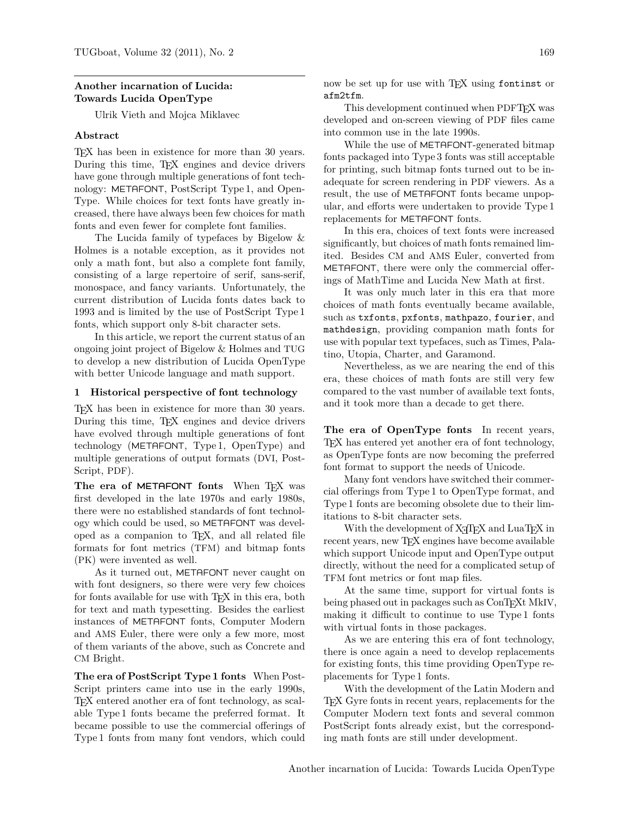# **Another incarnation of Lucida: Towards Lucida OpenType**

Ulrik Vieth and Mojca Miklavec

# **Abstract**

TEX has been in existence for more than 30 years. During this time, TEX engines and device drivers have gone through multiple generations of font technology: METAFONT, PostScript Type 1, and Open-Type. While choices for text fonts have greatly increased, there have always been few choices for math fonts and even fewer for complete font families.

The Lucida family of typefaces by Bigelow & Holmes is a notable exception, as it provides not only a math font, but also a complete font family, consisting of a large repertoire of serif, sans-serif, monospace, and fancy variants. Unfortunately, the current distribution of Lucida fonts dates back to 1993 and is limited by the use of PostScript Type 1 fonts, which support only 8-bit character sets.

In this article, we report the current status of an ongoing joint project of Bigelow & Holmes and TUG to develop a new distribution of Lucida OpenType with better Unicode language and math support.

## **1 Historical perspective of font technology**

TEX has been in existence for more than 30 years. During this time, TEX engines and device drivers have evolved through multiple generations of font technology (METAFONT, Type 1, OpenType) and multiple generations of output formats (DVI, Post-Script, PDF).

The era of METAFONT fonts When T<sub>F</sub>X was first developed in the late 1970s and early 1980s, there were no established standards of font technology which could be used, so METAFONT was developed as a companion to TEX, and all related file formats for font metrics (TFM) and bitmap fonts (PK) were invented as well.

As it turned out, METAFONT never caught on with font designers, so there were very few choices for fonts available for use with T<sub>EX</sub> in this era, both for text and math typesetting. Besides the earliest instances of METAFONT fonts, Computer Modern and AMS Euler, there were only a few more, most of them variants of the above, such as Concrete and CM Bright.

**The era of PostScript Type 1 fonts** When Post-Script printers came into use in the early 1990s, TEX entered another era of font technology, as scalable Type 1 fonts became the preferred format. It became possible to use the commercial offerings of Type 1 fonts from many font vendors, which could

now be set up for use with TEX using <fontinst> or <afm2tfm>.

This development continued when PDFTEX was developed and on-screen viewing of PDF files came into common use in the late 1990s.

While the use of METAFONT-generated bitmap fonts packaged into Type 3 fonts was still acceptable for printing, such bitmap fonts turned out to be inadequate for screen rendering in PDF viewers. As a result, the use of METAFONT fonts became unpopular, and efforts were undertaken to provide Type 1 replacements for METAFONT fonts.

In this era, choices of text fonts were increased significantly, but choices of math fonts remained limited. Besides CM and AMS Euler, converted from METAFONT, there were only the commercial offerings of MathTime and Lucida New Math at first.

It was only much later in this era that more choices of math fonts eventually became available, such as <txfonts>, <pxfonts>, <mathpazo>, <fourier>, and <mathdesign>, providing companion math fonts for use with popular text typefaces, such as Times, Palatino, Utopia, Charter, and Garamond.

Nevertheless, as we are nearing the end of this era, these choices of math fonts are still very few compared to the vast number of available text fonts, and it took more than a decade to get there.

**The era of OpenType fonts** In recent years, TEX has entered yet another era of font technology, as OpenType fonts are now becoming the preferred font format to support the needs of Unicode.

Many font vendors have switched their commercial offerings from Type 1 to OpenType format, and Type 1 fonts are becoming obsolete due to their limitations to 8-bit character sets.

With the development of X<sub>T</sub>T<sub>F</sub>X and LuaT<sub>F</sub>X in recent years, new TFX engines have become available which support Unicode input and OpenType output directly, without the need for a complicated setup of TFM font metrics or font map files.

At the same time, support for virtual fonts is being phased out in packages such as ConTEXt MkIV, making it difficult to continue to use Type 1 fonts with virtual fonts in those packages.

As we are entering this era of font technology, there is once again a need to develop replacements for existing fonts, this time providing OpenType replacements for Type 1 fonts.

With the development of the Latin Modern and TEX Gyre fonts in recent years, replacements for the Computer Modern text fonts and several common PostScript fonts already exist, but the corresponding math fonts are still under development.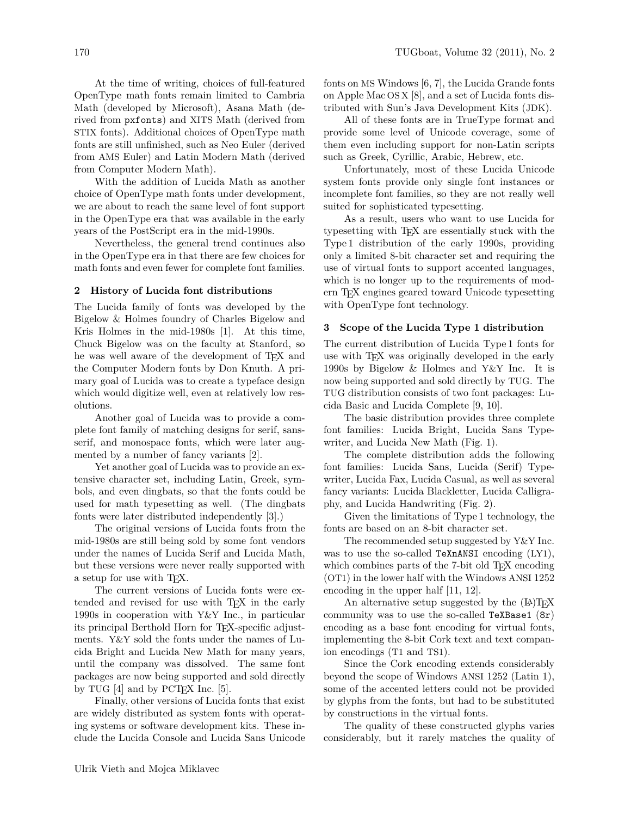At the time of writing, choices of full-featured OpenType math fonts remain limited to Cambria Math (developed by Microsoft), Asana Math (derived from <pxfonts>) and XITS Math (derived from STIX fonts). Additional choices of OpenType math fonts are still unfinished, such as Neo Euler (derived from AMS Euler) and Latin Modern Math (derived from Computer Modern Math).

With the addition of Lucida Math as another choice of OpenType math fonts under development, we are about to reach the same level of font support in the OpenType era that was available in the early years of the PostScript era in the mid-1990s.

Nevertheless, the general trend continues also in the OpenType era in that there are few choices for math fonts and even fewer for complete font families.

### **2 History of Lucida font distributions**

The Lucida family of fonts was developed by the Bigelow & Holmes foundry of Charles Bigelow and Kris Holmes in the mid-1980s [\[1\]](#page-6-0). At this time, Chuck Bigelow was on the faculty at Stanford, so he was well aware of the development of TEX and the Computer Modern fonts by Don Knuth. A primary goal of Lucida was to create a typeface design which would digitize well, even at relatively low resolutions.

Another goal of Lucida was to provide a complete font family of matching designs for serif, sansserif, and monospace fonts, which were later augmented by a number of fancy variants [\[2\]](#page-7-0).

Yet another goal of Lucida was to provide an extensive character set, including Latin, Greek, symbols, and even dingbats, so that the fonts could be used for math typesetting as well. (The dingbats fonts were later distributed independently [\[3\]](#page-7-1).)

The original versions of Lucida fonts from the mid-1980s are still being sold by some font vendors under the names of Lucida Serif and Lucida Math, but these versions were never really supported with a setup for use with T<sub>E</sub>X.

The current versions of Lucida fonts were extended and revised for use with TEX in the early 1990s in cooperation with Y&Y Inc., in particular its principal Berthold Horn for TEX-specific adjustments. Y&Y sold the fonts under the names of Lucida Bright and Lucida New Math for many years, until the company was dissolved. The same font packages are now being supported and sold directly by TUG  $[4]$  and by PCT<sub>F</sub>X Inc.  $[5]$ .

Finally, other versions of Lucida fonts that exist are widely distributed as system fonts with operating systems or software development kits. These include the Lucida Console and Lucida Sans Unicode fonts on MS Windows [\[6,](#page-7-4) [7\]](#page-7-5), the Lucida Grande fonts on Apple Mac OS X [\[8\]](#page-7-6), and a set of Lucida fonts distributed with Sun's Java Development Kits (JDK).

All of these fonts are in TrueType format and provide some level of Unicode coverage, some of them even including support for non-Latin scripts such as Greek, Cyrillic, Arabic, Hebrew, etc.

Unfortunately, most of these Lucida Unicode system fonts provide only single font instances or incomplete font families, so they are not really well suited for sophisticated typesetting.

As a result, users who want to use Lucida for typesetting with TEX are essentially stuck with the Type 1 distribution of the early 1990s, providing only a limited 8-bit character set and requiring the use of virtual fonts to support accented languages, which is no longer up to the requirements of modern TEX engines geared toward Unicode typesetting with OpenType font technology.

## **3 Scope of the Lucida Type 1 distribution**

The current distribution of Lucida Type 1 fonts for use with TFX was originally developed in the early 1990s by Bigelow & Holmes and Y&Y Inc. It is now being supported and sold directly by TUG. The TUG distribution consists of two font packages: Lucida Basic and Lucida Complete [\[9,](#page-7-7) [10\]](#page-7-8).

The basic distribution provides three complete font families: Lucida Bright, Lucida Sans Typewriter, and Lucida New Math (Fig. [1\)](#page-2-0).

The complete distribution adds the following font families: Lucida Sans, Lucida (Serif) Typewriter, Lucida Fax, Lucida Casual, as well as several fancy variants: Lucida Blackletter, Lucida Calligraphy, and Lucida Handwriting (Fig. [2\)](#page-2-1).

Given the limitations of Type 1 technology, the fonts are based on an 8-bit character set.

The recommended setup suggested by Y&Y Inc. was to use the so-called TeXnANSI encoding (LY1), which combines parts of the 7-bit old TFX encoding (OT1) in the lower half with the Windows ANSI 1252 encoding in the upper half [\[11,](#page-7-9) [12\]](#page-7-10).

An alternative setup suggested by the  $(L)$ <sup>T</sup>FX community was to use the so-called TeXBase1  $(8r)$ encoding as a base font encoding for virtual fonts, implementing the 8-bit Cork text and text companion encodings (T1 and TS1).

Since the Cork encoding extends considerably beyond the scope of Windows ANSI 1252 (Latin 1), some of the accented letters could not be provided by glyphs from the fonts, but had to be substituted by constructions in the virtual fonts.

The quality of these constructed glyphs varies considerably, but it rarely matches the quality of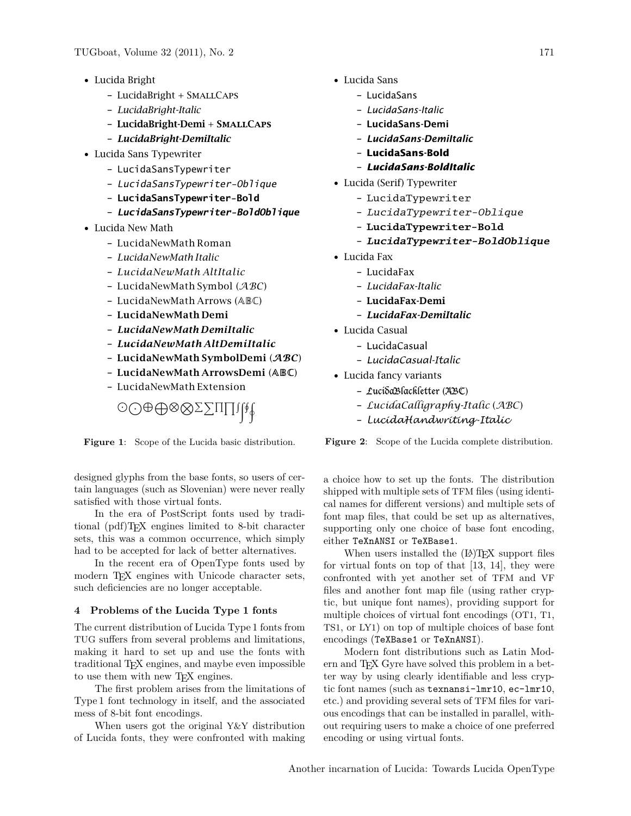- Lucida Bright
	- LucidaBright + SmallCaps
	- *LucidaBright-Italic*
	- LucidaBright-Demi + SmallCaps
	- *LucidaBright-DemiItalic*
- Lucida Sans Typewriter
	- LucidaSansTypewriter
	- LucidaSansTypewriter-Oblique
	- **LucidaSansTypewriter-Bold**
	- **LucidaSansTypewriter-BoldOblique**
- Lucida New Math
	- LucidaNewMath Roman
	- *LucidaNewMath Italic*
	- *LucidaNewMath AltItalic*
	- LucidaNewMath Symbol  $(ABC)$
	- LucidaNewMath Arrows (ABC)
	- **LucidaNewMath Demi**
	- *LucidaNewMath DemiItalic*
	- *LucidaNewMath AltDemiItalic*
	- **LucidaNewMath SymbolDemi** (ABC)
	- **LucidaNewMath ArrowsDemi** (ABC)
	- LucidaNewMath Extension

<span id="page-2-0"></span>JKLMNOPXQYRZHI

**Figure 1**: Scope of the Lucida basic distribution.

designed glyphs from the base fonts, so users of certain languages (such as Slovenian) were never really satisfied with those virtual fonts.

In the era of PostScript fonts used by traditional (pdf)TEX engines limited to 8-bit character sets, this was a common occurrence, which simply had to be accepted for lack of better alternatives.

In the recent era of OpenType fonts used by modern T<sub>E</sub>X engines with Unicode character sets, such deficiencies are no longer acceptable.

# **4 Problems of the Lucida Type 1 fonts**

The current distribution of Lucida Type 1 fonts from TUG suffers from several problems and limitations, making it hard to set up and use the fonts with traditional TEX engines, and maybe even impossible to use them with new TEX engines.

The first problem arises from the limitations of Type 1 font technology in itself, and the associated mess of 8-bit font encodings.

When users got the original Y&Y distribution of Lucida fonts, they were confronted with making

- Lucida Sans
	- LucidaSans
	- *LucidaSans-Italic*
	- LucidaSans-Demi
	- *LucidaSans-DemiItalic*
	- **LucidaSans-Bold**
	- *LucidaSans-BoldItalic*
- Lucida (Serif) Typewriter
	- LucidaTypewriter
	- LucidaTypewriter-Oblique
	- **LucidaTypewriter-Bold**
	- **LucidaTypewriter-BoldOblique**
- Lucida Fax
	- LucidaFax
	- *LucidaFax-Italic*
	- LucidaFax-Demi
	- *LucidaFax-DemiItalic*
- Lucida Casual
	- LucidaCasual
	- *LucidaCasual-Italic*
- Lucida fancy variants
	- LucidaBlackletter (ABC)
	- *LucidaCalligraphy-Italic* (*ABC*)
	- *LucidaHandwriting-Italic*

<span id="page-2-1"></span>**Figure 2**: Scope of the Lucida complete distribution.

a choice how to set up the fonts. The distribution shipped with multiple sets of TFM files (using identical names for different versions) and multiple sets of font map files, that could be set up as alternatives, supporting only one choice of base font encoding, either TeXnANSI or TeXBase1.

When users installed the  $(L)$ T<sub>F</sub>X support files for virtual fonts on top of that [\[13,](#page-7-11) [14\]](#page-7-12), they were confronted with yet another set of TFM and VF files and another font map file (using rather cryptic, but unique font names), providing support for multiple choices of virtual font encodings (OT1, T1, TS1, or LY1) on top of multiple choices of base font encodings (TeXBase1 or TeXnANSI).

Modern font distributions such as Latin Modern and TEX Gyre have solved this problem in a better way by using clearly identifiable and less cryptic font names (such as texnansi-lmr10, ec-lmr10, etc.) and providing several sets of TFM files for various encodings that can be installed in parallel, without requiring users to make a choice of one preferred encoding or using virtual fonts.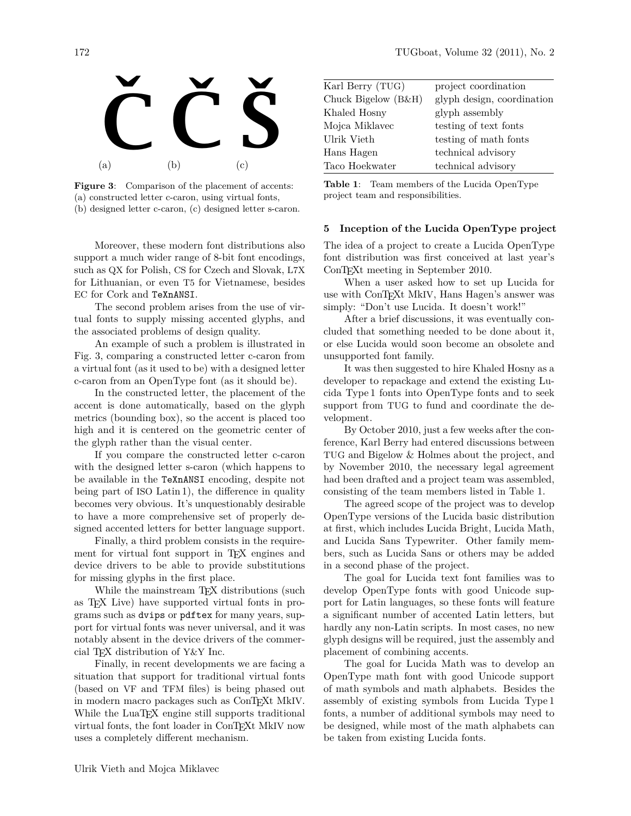

**Figure 3**: Comparison of the placement of accents: (a) constructed letter c-caron, using virtual fonts, (b) designed letter c-caron, (c) designed letter s-caron.

<span id="page-3-0"></span>Moreover, these modern font distributions also support a much wider range of 8-bit font encodings, such as QX for Polish, CS for Czech and Slovak, L7X for Lithuanian, or even T5 for Vietnamese, besides EC for Cork and TeXnANSI.

The second problem arises from the use of virtual fonts to supply missing accented glyphs, and the associated problems of design quality.

An example of such a problem is illustrated in Fig. [3,](#page-3-0) comparing a constructed letter c-caron from a virtual font (as it used to be) with a designed letter c-caron from an OpenType font (as it should be).

In the constructed letter, the placement of the accent is done automatically, based on the glyph metrics (bounding box), so the accent is placed too high and it is centered on the geometric center of the glyph rather than the visual center.

If you compare the constructed letter c-caron with the designed letter s-caron (which happens to be available in the TeXnANSI encoding, despite not being part of ISO Latin 1), the difference in quality becomes very obvious. It's unquestionably desirable to have a more comprehensive set of properly designed accented letters for better language support.

Finally, a third problem consists in the requirement for virtual font support in T<sub>EX</sub> engines and device drivers to be able to provide substitutions for missing glyphs in the first place.

While the mainstream T<sub>E</sub>X distributions (such as TEX Live) have supported virtual fonts in programs such as dvips or pdftex for many years, support for virtual fonts was never universal, and it was notably absent in the device drivers of the commercial TEX distribution of Y&Y Inc.

Finally, in recent developments we are facing a situation that support for traditional virtual fonts (based on VF and TFM files) is being phased out in modern macro packages such as ConT<sub>EXt</sub> MkIV. While the LuaT<sub>E</sub>X engine still supports traditional virtual fonts, the font loader in ConTEXt MkIV now uses a completely different mechanism.

| Karl Berry (TUG)    | project coordination       |
|---------------------|----------------------------|
| Chuck Bigelow (B&H) | glyph design, coordination |
| Khaled Hosny        | glyph assembly             |
| Mojca Miklavec      | testing of text fonts      |
| Ulrik Vieth         | testing of math fonts      |
| Hans Hagen          | technical advisory         |
| Taco Hoekwater      | technical advisory         |

<span id="page-3-1"></span>**Table 1**: Team members of the Lucida OpenType project team and responsibilities.

### **5 Inception of the Lucida OpenType project**

The idea of a project to create a Lucida OpenType font distribution was first conceived at last year's ConTEXt meeting in September 2010.

When a user asked how to set up Lucida for use with ConTEXt MkIV, Hans Hagen's answer was simply: "Don't use Lucida. It doesn't work!"

After a brief discussions, it was eventually concluded that something needed to be done about it, or else Lucida would soon become an obsolete and unsupported font family.

It was then suggested to hire Khaled Hosny as a developer to repackage and extend the existing Lucida Type 1 fonts into OpenType fonts and to seek support from TUG to fund and coordinate the development.

By October 2010, just a few weeks after the conference, Karl Berry had entered discussions between TUG and Bigelow & Holmes about the project, and by November 2010, the necessary legal agreement had been drafted and a project team was assembled, consisting of the team members listed in Table [1.](#page-3-1)

The agreed scope of the project was to develop OpenType versions of the Lucida basic distribution at first, which includes Lucida Bright, Lucida Math, and Lucida Sans Typewriter. Other family members, such as Lucida Sans or others may be added in a second phase of the project.

The goal for Lucida text font families was to develop OpenType fonts with good Unicode support for Latin languages, so these fonts will feature a significant number of accented Latin letters, but hardly any non-Latin scripts. In most cases, no new glyph designs will be required, just the assembly and placement of combining accents.

The goal for Lucida Math was to develop an OpenType math font with good Unicode support of math symbols and math alphabets. Besides the assembly of existing symbols from Lucida Type 1 fonts, a number of additional symbols may need to be designed, while most of the math alphabets can be taken from existing Lucida fonts.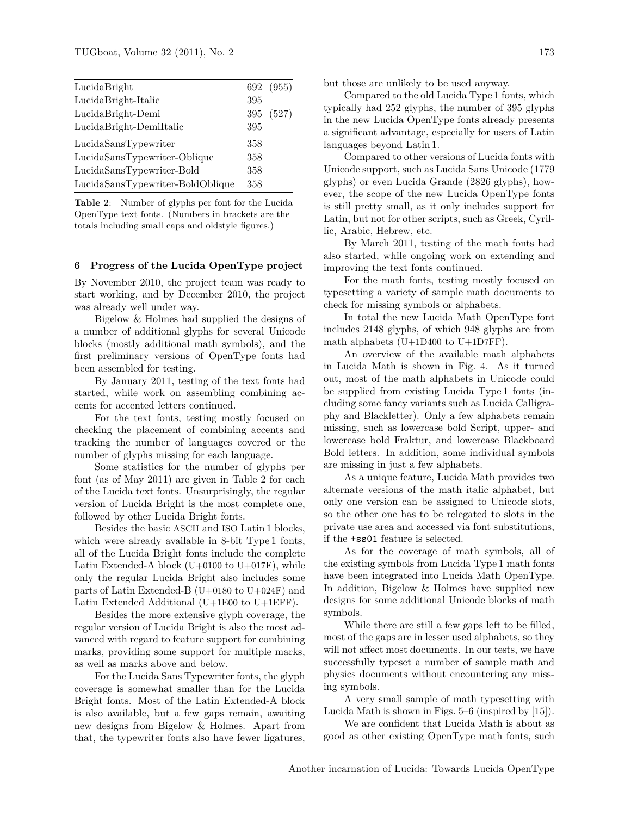| LucidaBright                     |     | 692 (955) |
|----------------------------------|-----|-----------|
| LucidaBright-Italic              | 395 |           |
| LucidaBright-Demi                | 395 | (527)     |
| LucidaBright-DemiItalic          | 395 |           |
| LucidaSansTypewriter             | 358 |           |
| LucidaSansTypewriter-Oblique     | 358 |           |
| LucidaSansTypewriter-Bold        | 358 |           |
| LucidaSansTypewriter-BoldOblique | 358 |           |

<span id="page-4-0"></span>**Table 2**: Number of glyphs per font for the Lucida OpenType text fonts. (Numbers in brackets are the totals including small caps and oldstyle figures.)

### **6 Progress of the Lucida OpenType project**

By November 2010, the project team was ready to start working, and by December 2010, the project was already well under way.

Bigelow & Holmes had supplied the designs of a number of additional glyphs for several Unicode blocks (mostly additional math symbols), and the first preliminary versions of OpenType fonts had been assembled for testing.

By January 2011, testing of the text fonts had started, while work on assembling combining accents for accented letters continued.

For the text fonts, testing mostly focused on checking the placement of combining accents and tracking the number of languages covered or the number of glyphs missing for each language.

Some statistics for the number of glyphs per font (as of May 2011) are given in Table [2](#page-4-0) for each of the Lucida text fonts. Unsurprisingly, the regular version of Lucida Bright is the most complete one, followed by other Lucida Bright fonts.

Besides the basic ASCII and ISO Latin 1 blocks, which were already available in 8-bit Type 1 fonts, all of the Lucida Bright fonts include the complete Latin Extended-A block  $(U+0100$  to  $U+017F)$ , while only the regular Lucida Bright also includes some parts of Latin Extended-B (U+0180 to U+024F) and Latin Extended Additional (U+1E00 to U+1EFF).

Besides the more extensive glyph coverage, the regular version of Lucida Bright is also the most advanced with regard to feature support for combining marks, providing some support for multiple marks, as well as marks above and below.

For the Lucida Sans Typewriter fonts, the glyph coverage is somewhat smaller than for the Lucida Bright fonts. Most of the Latin Extended-A block is also available, but a few gaps remain, awaiting new designs from Bigelow & Holmes. Apart from that, the typewriter fonts also have fewer ligatures, but those are unlikely to be used anyway.

Compared to the old Lucida Type 1 fonts, which typically had 252 glyphs, the number of 395 glyphs in the new Lucida OpenType fonts already presents a significant advantage, especially for users of Latin languages beyond Latin 1.

Compared to other versions of Lucida fonts with Unicode support, such as Lucida Sans Unicode (1779 glyphs) or even Lucida Grande (2826 glyphs), however, the scope of the new Lucida OpenType fonts is still pretty small, as it only includes support for Latin, but not for other scripts, such as Greek, Cyrillic, Arabic, Hebrew, etc.

By March 2011, testing of the math fonts had also started, while ongoing work on extending and improving the text fonts continued.

For the math fonts, testing mostly focused on typesetting a variety of sample math documents to check for missing symbols or alphabets.

In total the new Lucida Math OpenType font includes 2148 glyphs, of which 948 glyphs are from math alphabets  $(U+1D400$  to  $U+1D7FF)$ .

An overview of the available math alphabets in Lucida Math is shown in Fig. [4.](#page-5-0) As it turned out, most of the math alphabets in Unicode could be supplied from existing Lucida Type 1 fonts (including some fancy variants such as Lucida Calligraphy and Blackletter). Only a few alphabets remain missing, such as lowercase bold Script, upper- and lowercase bold Fraktur, and lowercase Blackboard Bold letters. In addition, some individual symbols are missing in just a few alphabets.

As a unique feature, Lucida Math provides two alternate versions of the math italic alphabet, but only one version can be assigned to Unicode slots, so the other one has to be relegated to slots in the private use area and accessed via font substitutions, if the +ss01 feature is selected.

As for the coverage of math symbols, all of the existing symbols from Lucida Type 1 math fonts have been integrated into Lucida Math OpenType. In addition, Bigelow & Holmes have supplied new designs for some additional Unicode blocks of math symbols.

While there are still a few gaps left to be filled, most of the gaps are in lesser used alphabets, so they will not affect most documents. In our tests, we have successfully typeset a number of sample math and physics documents without encountering any missing symbols.

A very small sample of math typesetting with Lucida Math is shown in Figs. [5–](#page-6-1)[6](#page-6-2) (inspired by [\[15\]](#page-7-13)).

We are confident that Lucida Math is about as good as other existing OpenType math fonts, such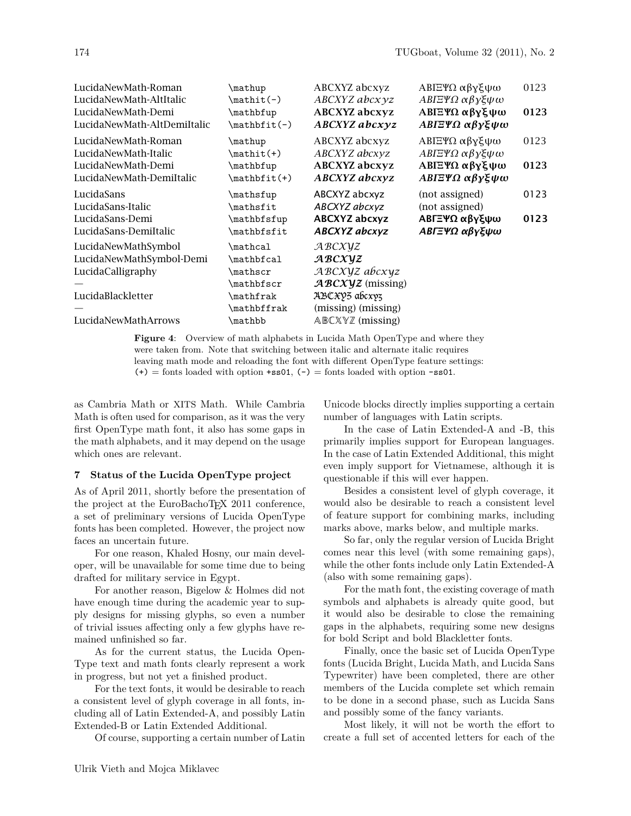| LucidaNewMath-Roman<br>LucidaNewMath-AltItalic<br>LucidaNewMath-Demi<br>LucidaNewMath-AltDemiItalic              | \mathup<br>$\mathcal{h}(t)$<br>\mathbfup<br>$\mathcal{h}_\text{math}(-)$                | ABCXYZ abcxyz<br>ABCXYZ abcxyz<br><b>ABCXYZ</b> abcxyz<br>$ABCXYZ$ abcxyz                                                                                         | ΑΒΙΞΨΩ αβγξψω<br>ΑΒΓΞΨΩ αβγξψω<br><b>ΑΒΓΞΨΩ αβγξψω</b><br>ΑΒΓΞΨΩ αβγξψω   | 0123<br>0123 |
|------------------------------------------------------------------------------------------------------------------|-----------------------------------------------------------------------------------------|-------------------------------------------------------------------------------------------------------------------------------------------------------------------|---------------------------------------------------------------------------|--------------|
| LucidaNewMath-Roman<br>LucidaNewMath-Italic<br>LucidaNewMath-Demi<br>LucidaNewMath-DemiItalic                    | \mathup<br>$\mathcal{h}(+)$<br>\mathbfup<br>$\mathcal{h}_t(\theta)$                     | ABCXYZ abcxyz<br>ABCXYZ abcxyz<br><b>ABCXYZ</b> abcxyz<br><b>ABCXYZ</b> abcxyz                                                                                    | ΑΒΙΞΨΩ αβγξψω<br>ΑΒΓΞΨΩ αβγξψω<br><b>ΑΒΙΞΨΩ αβγξψω</b><br>ΑΒΓΞΨΩ αβγξψω   | 0123<br>0123 |
| LucidaSans<br>LucidaSans-Italic<br>LucidaSans-Demi<br>LucidaSans-DemiItalic                                      | \mathsfup<br>\mathsfit<br>\mathbfsfup<br>\mathbfsfit                                    | ABCXYZ abcxyz<br>ABCXYZ abcxyz<br><b>ABCXYZ</b> abcxyz<br><b>ABCXYZ</b> abcxyz                                                                                    | (not assigned)<br>(not assigned)<br><b>ΑΒΓΞΨΩ αβγξψω</b><br>ΑΒΓΞΨΩ αβγξψω | 0123<br>0123 |
| LucidaNewMathSymbol<br>LucidaNewMathSymbol-Demi<br>LucidaCalligraphy<br>LucidaBlackletter<br>LucidaNewMathArrows | \mathcal<br>\mathbfcal<br>\mathscr<br>\mathbfscr<br>\mathfrak<br>\mathbffrak<br>\mathbb | ABCXYZ<br>ABCXYZ<br>ABCXYZ abcxyz<br>$ABCXYZ$ (missing)<br>ДВСӾУЗ абсхуз<br>(missing) (missing)<br>$\triangle B\mathbb{C} \times \mathbb{Y} \mathbb{Z}$ (missing) |                                                                           |              |

<span id="page-5-0"></span>**Figure 4**: Overview of math alphabets in Lucida Math OpenType and where they were taken from. Note that switching between italic and alternate italic requires leaving math mode and reloading the font with different OpenType feature settings: (+) = fonts loaded with option +ss01,  $(-)$  = fonts loaded with option -ss01.

as Cambria Math or XITS Math. While Cambria Math is often used for comparison, as it was the very first OpenType math font, it also has some gaps in the math alphabets, and it may depend on the usage which ones are relevant.

## **7 Status of the Lucida OpenType project**

As of April 2011, shortly before the presentation of the project at the EuroBachoTEX 2011 conference, a set of preliminary versions of Lucida OpenType fonts has been completed. However, the project now faces an uncertain future.

For one reason, Khaled Hosny, our main developer, will be unavailable for some time due to being drafted for military service in Egypt.

For another reason, Bigelow & Holmes did not have enough time during the academic year to supply designs for missing glyphs, so even a number of trivial issues affecting only a few glyphs have remained unfinished so far.

As for the current status, the Lucida Open-Type text and math fonts clearly represent a work in progress, but not yet a finished product.

For the text fonts, it would be desirable to reach a consistent level of glyph coverage in all fonts, including all of Latin Extended-A, and possibly Latin Extended-B or Latin Extended Additional.

Of course, supporting a certain number of Latin

Unicode blocks directly implies supporting a certain number of languages with Latin scripts.

In the case of Latin Extended-A and -B, this primarily implies support for European languages. In the case of Latin Extended Additional, this might even imply support for Vietnamese, although it is questionable if this will ever happen.

Besides a consistent level of glyph coverage, it would also be desirable to reach a consistent level of feature support for combining marks, including marks above, marks below, and multiple marks.

So far, only the regular version of Lucida Bright comes near this level (with some remaining gaps), while the other fonts include only Latin Extended-A (also with some remaining gaps).

For the math font, the existing coverage of math symbols and alphabets is already quite good, but it would also be desirable to close the remaining gaps in the alphabets, requiring some new designs for bold Script and bold Blackletter fonts.

Finally, once the basic set of Lucida OpenType fonts (Lucida Bright, Lucida Math, and Lucida Sans Typewriter) have been completed, there are other members of the Lucida complete set which remain to be done in a second phase, such as Lucida Sans and possibly some of the fancy variants.

Most likely, it will not be worth the effort to create a full set of accented letters for each of the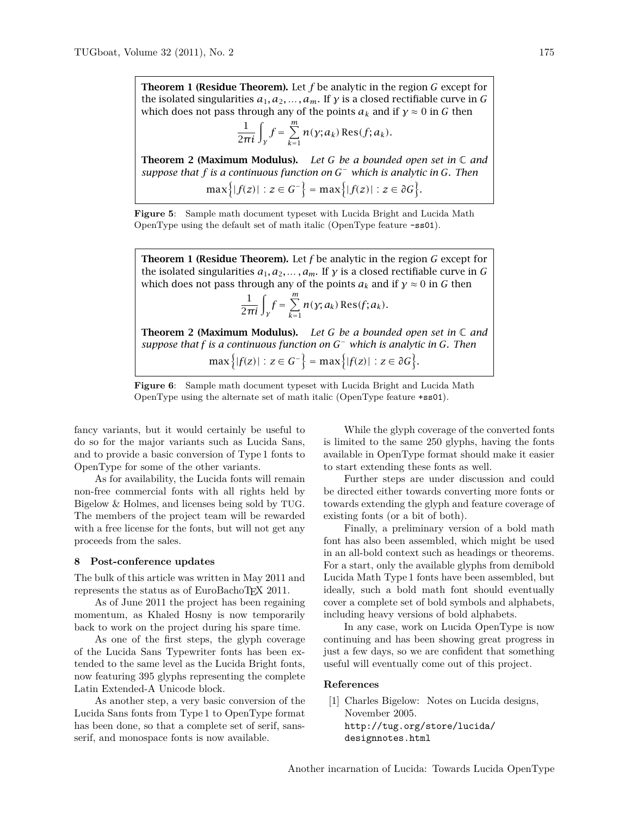**Theorem 1 (Residue Theorem).** Let  $f$  be analytic in the region  $G$  except for the isolated singularities  $a_1, a_2, \ldots, a_m$ . If y is a closed rectifiable curve in G which does not pass through any of the points  $a_k$  and if  $\gamma \approx 0$  in G then

$$
\frac{1}{2\pi i}\int_{\gamma}f=\sum_{k=1}^m n(\gamma;a_k)\operatorname{Res}(f;a_k).
$$

Theorem 2 (Maximum Modulus). *Let be a bounded open set in* ℂ *and* suppose that f is a continuous function on  $G^-$  which is analytic in G. Then  $\max\{|f(z)| : z \in G^-\} = \max\{|f(z)| : z \in \partial G\}.$ 

<span id="page-6-1"></span>**Figure 5**: Sample math document typeset with Lucida Bright and Lucida Math OpenType using the default set of math italic (OpenType feature -ss01).

**Theorem 1 (Residue Theorem).** Let  $f$  be analytic in the region  $G$  except for the isolated singularities  $a_1, a_2, \ldots, a_m$ . If y is a closed rectifiable curve in G which does not pass through any of the points  $a_k$  and if  $\gamma \approx 0$  in G then m

$$
\frac{1}{2\pi i}\int_{\gamma} f = \sum_{k=1}^m n(\gamma; a_k) \operatorname{Res}(f; a_k).
$$

Theorem 2 (Maximum Modulus). *Let be a bounded open set in* ℂ *and* suppose that f is a continuous function on  $G^-$  which is analytic in G. Then  $\left(\begin{array}{ccc} |c| \leq |c| & |c| \leq |c| \leq |c| \leq |c| \leq |c| \leq |c| \leq |c| \leq |c| \leq |c| \leq |c| \leq |c| \leq |c| \leq |c| \leq |c| \leq |c| \leq |c| \leq |c| \leq |c| \leq |c| \leq |c| \leq |c| \leq |c| \leq |c| \leq |c| \leq |c| \leq |c| \leq |c| \leq |c| \leq |c| \leq |c| \leq |c| \leq |c| \leq |c| \leq |c|$ 

<span id="page-6-2"></span>
$$
\max\{|f(z)| : z \in G^-\} = \max\{|f(z)| : z \in \partial G\}.
$$



fancy variants, but it would certainly be useful to do so for the major variants such as Lucida Sans, and to provide a basic conversion of Type 1 fonts to OpenType for some of the other variants.

As for availability, the Lucida fonts will remain non-free commercial fonts with all rights held by Bigelow & Holmes, and licenses being sold by TUG. The members of the project team will be rewarded with a free license for the fonts, but will not get any proceeds from the sales.

### **8 Post-conference updates**

The bulk of this article was written in May 2011 and represents the status as of EuroBachoTEX 2011.

As of June 2011 the project has been regaining momentum, as Khaled Hosny is now temporarily back to work on the project during his spare time.

As one of the first steps, the glyph coverage of the Lucida Sans Typewriter fonts has been extended to the same level as the Lucida Bright fonts, now featuring 395 glyphs representing the complete Latin Extended-A Unicode block.

As another step, a very basic conversion of the Lucida Sans fonts from Type 1 to OpenType format has been done, so that a complete set of serif, sansserif, and monospace fonts is now available.

While the glyph coverage of the converted fonts is limited to the same 250 glyphs, having the fonts available in OpenType format should make it easier to start extending these fonts as well.

Further steps are under discussion and could be directed either towards converting more fonts or towards extending the glyph and feature coverage of existing fonts (or a bit of both).

Finally, a preliminary version of a bold math font has also been assembled, which might be used in an all-bold context such as headings or theorems. For a start, only the available glyphs from demibold Lucida Math Type 1 fonts have been assembled, but ideally, such a bold math font should eventually cover a complete set of bold symbols and alphabets, including heavy versions of bold alphabets.

In any case, work on Lucida OpenType is now continuing and has been showing great progress in just a few days, so we are confident that something useful will eventually come out of this project.

#### **References**

<span id="page-6-0"></span>[1] Charles Bigelow: Notes on Lucida designs, November 2005. [http://tug.org/store/lucida/](http://tug.org/store/lucida/designnotes.html) [designnotes.html](http://tug.org/store/lucida/designnotes.html)